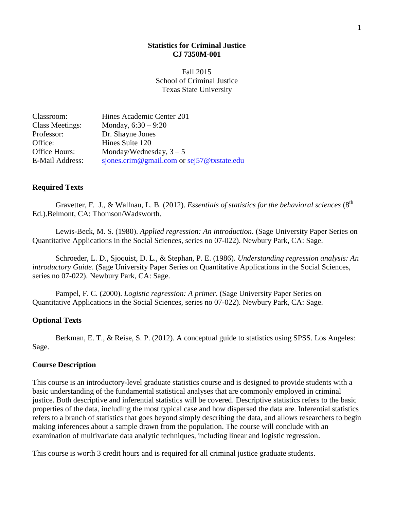#### **Statistics for Criminal Justice CJ 7350M-001**

Fall 2015 School of Criminal Justice Texas State University

| Classroom:             | Hines Academic Center 201                  |
|------------------------|--------------------------------------------|
| <b>Class Meetings:</b> | Monday, $6:30 - 9:20$                      |
| Professor:             | Dr. Shayne Jones                           |
| Office:                | Hines Suite 120                            |
| Office Hours:          | Monday/Wednesday, $3-5$                    |
| E-Mail Address:        | sjones.crim@gmail.com or sej57@txstate.edu |

#### **Required Texts**

Gravetter, F. J., & Wallnau, L. B. (2012). *Essentials of statistics for the behavioral sciences* (8<sup>th</sup> Ed.).Belmont, CA: Thomson/Wadsworth.

Lewis-Beck, M. S. (1980). *Applied regression: An introduction*. (Sage University Paper Series on Quantitative Applications in the Social Sciences, series no 07-022). Newbury Park, CA: Sage.

Schroeder, L. D., Sjoquist, D. L., & Stephan, P. E. (1986). *Understanding regression analysis: An introductory Guide*. (Sage University Paper Series on Quantitative Applications in the Social Sciences, series no 07-022). Newbury Park, CA: Sage.

Pampel, F. C. (2000). *Logistic regression: A primer*. (Sage University Paper Series on Quantitative Applications in the Social Sciences, series no 07-022). Newbury Park, CA: Sage.

#### **Optional Texts**

Berkman, E. T., & Reise, S. P. (2012). A conceptual guide to statistics using SPSS. Los Angeles: Sage.

#### **Course Description**

This course is an introductory-level graduate statistics course and is designed to provide students with a basic understanding of the fundamental statistical analyses that are commonly employed in criminal justice. Both descriptive and inferential statistics will be covered. Descriptive statistics refers to the basic properties of the data, including the most typical case and how dispersed the data are. Inferential statistics refers to a branch of statistics that goes beyond simply describing the data, and allows researchers to begin making inferences about a sample drawn from the population. The course will conclude with an examination of multivariate data analytic techniques, including linear and logistic regression.

This course is worth 3 credit hours and is required for all criminal justice graduate students.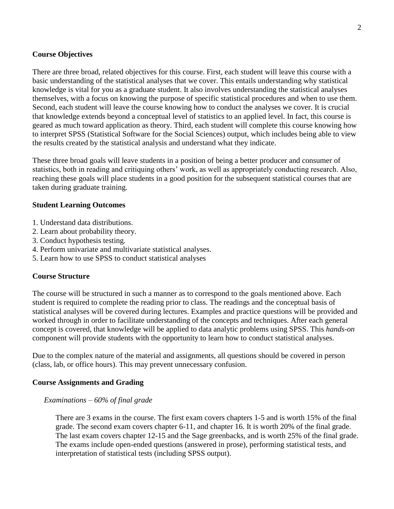# **Course Objectives**

There are three broad, related objectives for this course. First, each student will leave this course with a basic understanding of the statistical analyses that we cover. This entails understanding why statistical knowledge is vital for you as a graduate student. It also involves understanding the statistical analyses themselves, with a focus on knowing the purpose of specific statistical procedures and when to use them. Second, each student will leave the course knowing how to conduct the analyses we cover. It is crucial that knowledge extends beyond a conceptual level of statistics to an applied level. In fact, this course is geared as much toward application as theory. Third, each student will complete this course knowing how to interpret SPSS (Statistical Software for the Social Sciences) output, which includes being able to view the results created by the statistical analysis and understand what they indicate.

These three broad goals will leave students in a position of being a better producer and consumer of statistics, both in reading and critiquing others' work, as well as appropriately conducting research. Also, reaching these goals will place students in a good position for the subsequent statistical courses that are taken during graduate training.

## **Student Learning Outcomes**

- 1. Understand data distributions.
- 2. Learn about probability theory.
- 3. Conduct hypothesis testing.
- 4. Perform univariate and multivariate statistical analyses.
- 5. Learn how to use SPSS to conduct statistical analyses

## **Course Structure**

The course will be structured in such a manner as to correspond to the goals mentioned above. Each student is required to complete the reading prior to class. The readings and the conceptual basis of statistical analyses will be covered during lectures. Examples and practice questions will be provided and worked through in order to facilitate understanding of the concepts and techniques. After each general concept is covered, that knowledge will be applied to data analytic problems using SPSS. This *hands-on* component will provide students with the opportunity to learn how to conduct statistical analyses.

Due to the complex nature of the material and assignments, all questions should be covered in person (class, lab, or office hours). This may prevent unnecessary confusion.

#### **Course Assignments and Grading**

#### *Examinations – 60% of final grade*

There are 3 exams in the course. The first exam covers chapters 1-5 and is worth 15% of the final grade. The second exam covers chapter 6-11, and chapter 16. It is worth 20% of the final grade. The last exam covers chapter 12-15 and the Sage greenbacks, and is worth 25% of the final grade. The exams include open-ended questions (answered in prose), performing statistical tests, and interpretation of statistical tests (including SPSS output).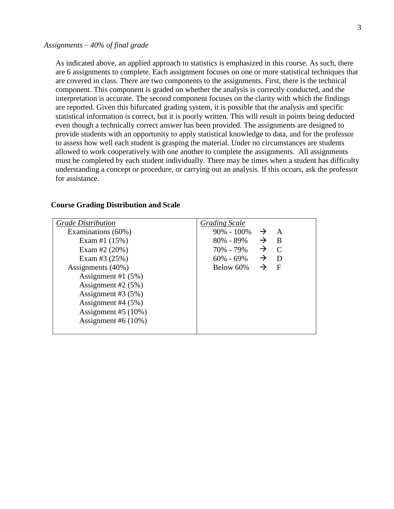As indicated above, an applied approach to statistics is emphasized in this course. As such, there are 6 assignments to complete. Each assignment focuses on one or more statistical techniques that are covered in class. There are two components to the assignments. First, there is the technical component. This component is graded on whether the analysis is correctly conducted, and the interpretation is accurate. The second component focuses on the clarity with which the findings are reported. Given this bifurcated grading system, it is possible that the analysis and specific statistical information is correct, but it is poorly written. This will result in points being deducted even though a technically correct answer has been provided. The assignments are designed to provide students with an opportunity to apply statistical knowledge to data, and for the professor to assess how well each student is grasping the material. Under no circumstances are students allowed to work cooperatively with one another to complete the assignments. All assignments must be completed by each student individually. There may be times when a student has difficulty understanding a concept or procedure, or carrying out an analysis. If this occurs, ask the professor for assistance.

| <b>Grade Distribution</b> | <b>Grading Scale</b> |               |             |
|---------------------------|----------------------|---------------|-------------|
| Examinations (60%)        | $90\% - 100\%$       | $\rightarrow$ | A           |
| Exam #1 $(15%)$           | 80% - 89%            | $\rightarrow$ | - B         |
| Exam #2 $(20%)$           | 70% - 79%            | $\rightarrow$ | - C         |
| Exam #3 $(25%)$           | $60\% - 69\%$        | $\rightarrow$ | - D         |
| Assignments (40%)         | Below 60%            | →             | $\mathbf F$ |
| Assignment #1 $(5%)$      |                      |               |             |
| Assignment #2 $(5\%)$     |                      |               |             |
| Assignment #3 $(5%)$      |                      |               |             |
| Assignment #4 $(5%)$      |                      |               |             |
| Assignment #5 $(10\%)$    |                      |               |             |
| Assignment #6 $(10\%)$    |                      |               |             |
|                           |                      |               |             |

#### **Course Grading Distribution and Scale**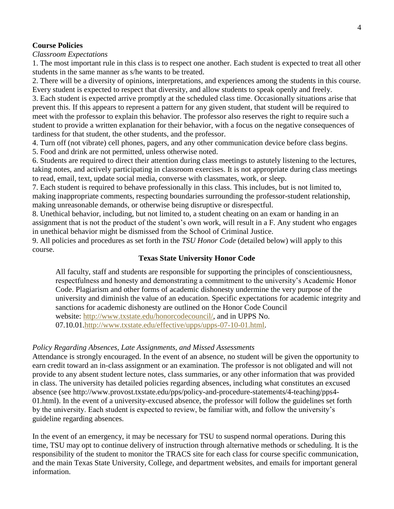#### **Course Policies**

#### *Classroom Expectations*

1. The most important rule in this class is to respect one another. Each student is expected to treat all other students in the same manner as s/he wants to be treated.

2. There will be a diversity of opinions, interpretations, and experiences among the students in this course. Every student is expected to respect that diversity, and allow students to speak openly and freely.

3. Each student is expected arrive promptly at the scheduled class time. Occasionally situations arise that prevent this. If this appears to represent a pattern for any given student, that student will be required to meet with the professor to explain this behavior. The professor also reserves the right to require such a student to provide a written explanation for their behavior, with a focus on the negative consequences of tardiness for that student, the other students, and the professor.

4. Turn off (not vibrate) cell phones, pagers, and any other communication device before class begins.

5. Food and drink are not permitted, unless otherwise noted.

6. Students are required to direct their attention during class meetings to astutely listening to the lectures, taking notes, and actively participating in classroom exercises. It is not appropriate during class meetings to read, email, text, update social media, converse with classmates, work, or sleep.

7. Each student is required to behave professionally in this class. This includes, but is not limited to, making inappropriate comments, respecting boundaries surrounding the professor-student relationship, making unreasonable demands, or otherwise being disruptive or disrespectful.

8. Unethical behavior, including, but not limited to, a student cheating on an exam or handing in an assignment that is not the product of the student's own work, will result in a F. Any student who engages in unethical behavior might be dismissed from the School of Criminal Justice.

9. All policies and procedures as set forth in the *TSU Honor Code* (detailed below) will apply to this course.

# **Texas State University Honor Code**

All faculty, staff and students are responsible for supporting the principles of conscientiousness, respectfulness and honesty and demonstrating a commitment to the university's Academic Honor Code. Plagiarism and other forms of academic dishonesty undermine the very purpose of the university and diminish the value of an education. Specific expectations for academic integrity and sanctions for academic dishonesty are outlined on the Honor Code Council website: [http://www.txstate.edu/honorcodecouncil/,](http://www.txstate.edu/honorcodecouncil/) and in UPPS No. 07.10.01[.http://www.txstate.edu/effective/upps/upps-07-10-01.html.](http://www.txstate.edu/effective/upps/upps-07-10-01.html)

## *Policy Regarding Absences, Late Assignments, and Missed Assessments*

Attendance is strongly encouraged. In the event of an absence, no student will be given the opportunity to earn credit toward an in-class assignment or an examination. The professor is not obligated and will not provide to any absent student lecture notes, class summaries, or any other information that was provided in class. The university has detailed policies regarding absences, including what constitutes an excused absence (see http://www.provost.txstate.edu/pps/policy-and-procedure-statements/4-teaching/pps4- 01.html). In the event of a university-excused absence, the professor will follow the guidelines set forth by the university. Each student is expected to review, be familiar with, and follow the university's guideline regarding absences.

In the event of an emergency, it may be necessary for TSU to suspend normal operations. During this time, TSU may opt to continue delivery of instruction through alternative methods or scheduling. It is the responsibility of the student to monitor the TRACS site for each class for course specific communication, and the main Texas State University, College, and department websites, and emails for important general information.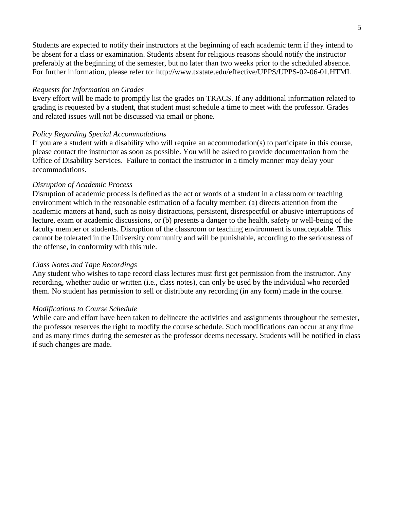5

Students are expected to notify their instructors at the beginning of each academic term if they intend to be absent for a class or examination. Students absent for religious reasons should notify the instructor preferably at the beginning of the semester, but no later than two weeks prior to the scheduled absence. For further information, please refer to: http://www.txstate.edu/effective/UPPS/UPPS-02-06-01.HTML

#### *Requests for Information on Grades*

Every effort will be made to promptly list the grades on TRACS. If any additional information related to grading is requested by a student, that student must schedule a time to meet with the professor. Grades and related issues will not be discussed via email or phone.

## *Policy Regarding Special Accommodations*

If you are a student with a disability who will require an accommodation(s) to participate in this course, please contact the instructor as soon as possible. You will be asked to provide documentation from the Office of Disability Services. Failure to contact the instructor in a timely manner may delay your accommodations.

#### *Disruption of Academic Process*

Disruption of academic process is defined as the act or words of a student in a classroom or teaching environment which in the reasonable estimation of a faculty member: (a) directs attention from the academic matters at hand, such as noisy distractions, persistent, disrespectful or abusive interruptions of lecture, exam or academic discussions, or (b) presents a danger to the health, safety or well-being of the faculty member or students. Disruption of the classroom or teaching environment is unacceptable. This cannot be tolerated in the University community and will be punishable, according to the seriousness of the offense, in conformity with this rule.

#### *Class Notes and Tape Recordings*

Any student who wishes to tape record class lectures must first get permission from the instructor. Any recording, whether audio or written (i.e., class notes), can only be used by the individual who recorded them. No student has permission to sell or distribute any recording (in any form) made in the course.

#### *Modifications to Course Schedule*

While care and effort have been taken to delineate the activities and assignments throughout the semester, the professor reserves the right to modify the course schedule. Such modifications can occur at any time and as many times during the semester as the professor deems necessary. Students will be notified in class if such changes are made.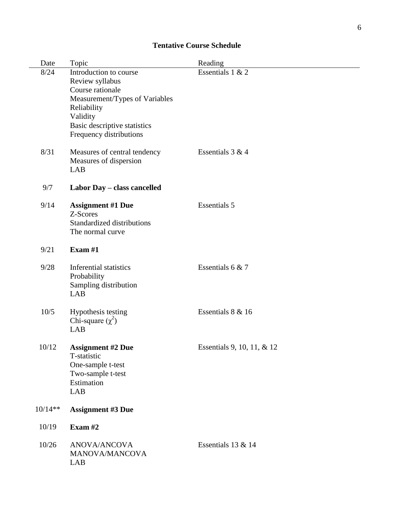# **Tentative Course Schedule**

| Date      | Topic                                          | Reading                    |
|-----------|------------------------------------------------|----------------------------|
| 8/24      | Introduction to course                         | Essentials 1 & 2           |
|           | Review syllabus                                |                            |
|           | Course rationale                               |                            |
|           | Measurement/Types of Variables<br>Reliability  |                            |
|           | Validity                                       |                            |
|           | Basic descriptive statistics                   |                            |
|           | Frequency distributions                        |                            |
| 8/31      | Measures of central tendency                   | Essentials $3 & 4$         |
|           | Measures of dispersion                         |                            |
|           | LAB                                            |                            |
| 9/7       | Labor Day - class cancelled                    |                            |
| 9/14      | <b>Assignment #1 Due</b>                       | <b>Essentials 5</b>        |
|           | Z-Scores                                       |                            |
|           | Standardized distributions<br>The normal curve |                            |
|           |                                                |                            |
| 9/21      | Exam $#1$                                      |                            |
| 9/28      | Inferential statistics                         | Essentials 6 & 7           |
|           | Probability                                    |                            |
|           | Sampling distribution                          |                            |
|           | LAB                                            |                            |
| 10/5      | Hypothesis testing                             | Essentials 8 & 16          |
|           | Chi-square $(\chi^2)$                          |                            |
|           | LAB                                            |                            |
| 10/12     | <b>Assignment #2 Due</b>                       | Essentials 9, 10, 11, & 12 |
|           | T-statistic                                    |                            |
|           | One-sample t-test                              |                            |
|           | Two-sample t-test<br>Estimation                |                            |
|           | <b>LAB</b>                                     |                            |
|           |                                                |                            |
| $10/14**$ | <b>Assignment #3 Due</b>                       |                            |
| 10/19     | Exam $#2$                                      |                            |
| 10/26     | <b>ANOVA/ANCOVA</b>                            | Essentials 13 & 14         |
|           | MANOVA/MANCOVA                                 |                            |
|           | LAB                                            |                            |
|           |                                                |                            |